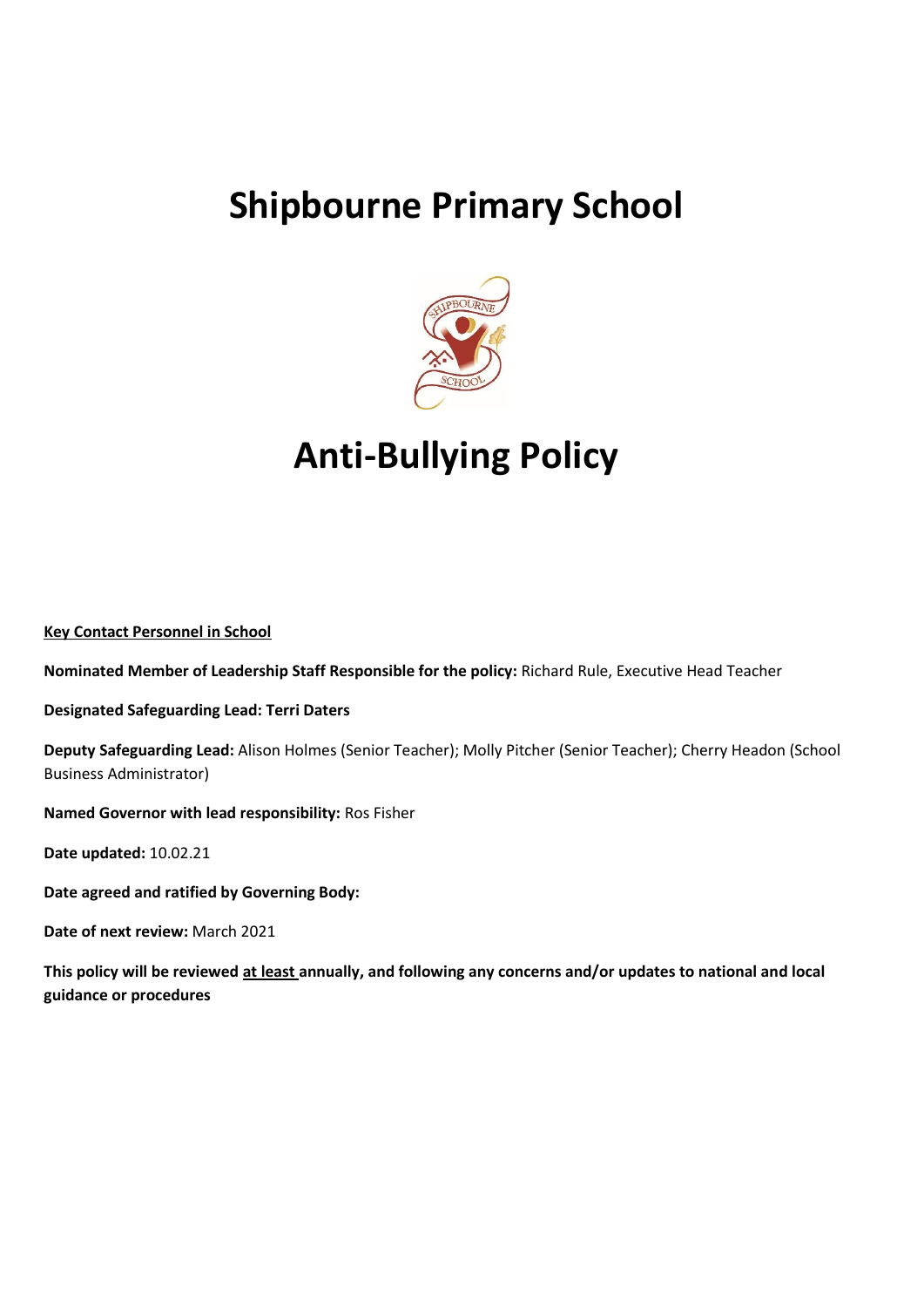# **Shipbourne Primary School**



# **Anti-Bullying Policy**

**Key Contact Personnel in School** 

**Nominated Member of Leadership Staff Responsible for the policy:** Richard Rule, Executive Head Teacher

**Designated Safeguarding Lead: Terri Daters**

**Deputy Safeguarding Lead:** Alison Holmes (Senior Teacher); Molly Pitcher (Senior Teacher); Cherry Headon (School Business Administrator)

**Named Governor with lead responsibility:** Ros Fisher

**Date updated:** 10.02.21

**Date agreed and ratified by Governing Body:** 

**Date of next review:** March 2021

**This policy will be reviewed at least annually, and following any concerns and/or updates to national and local guidance or procedures**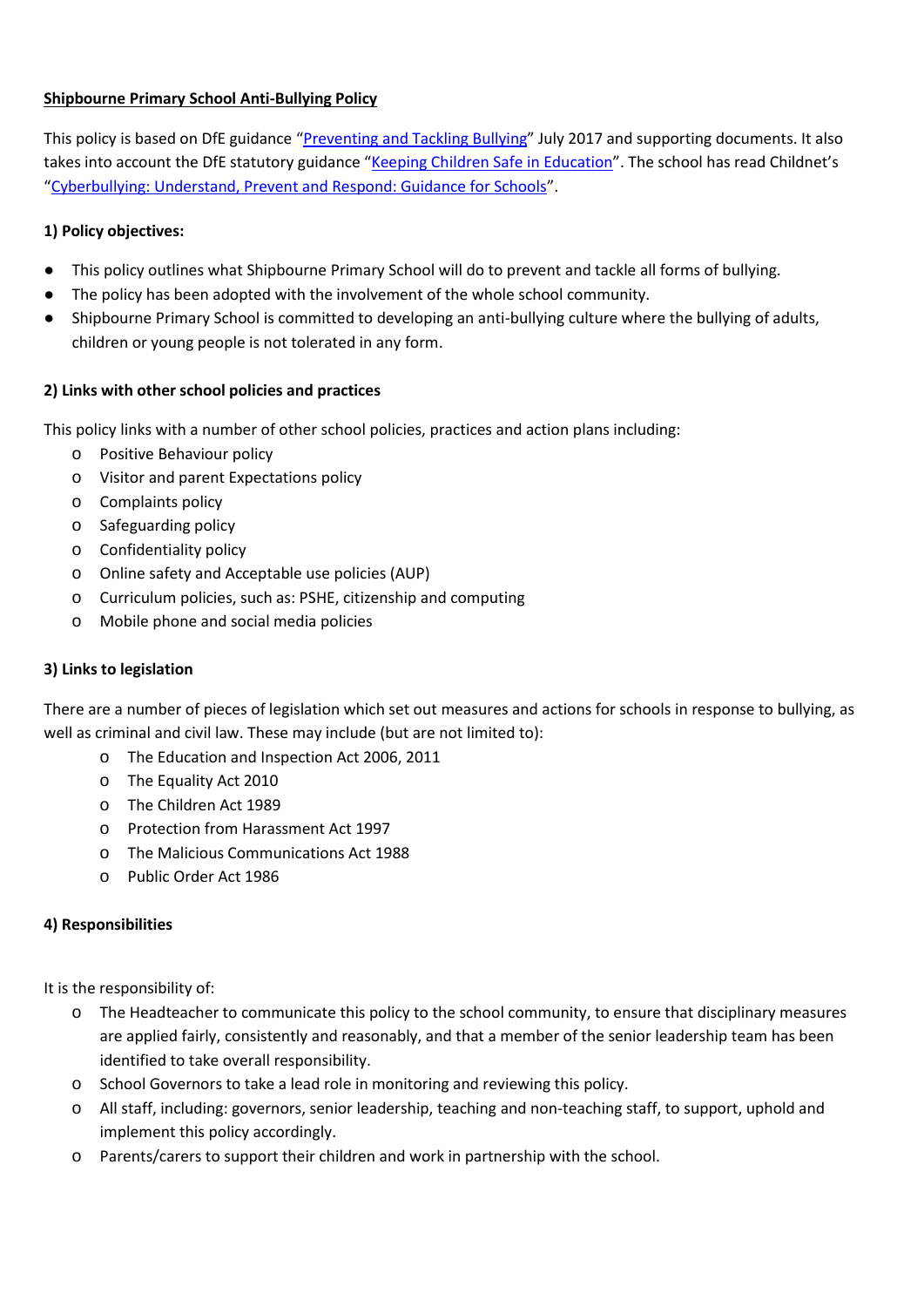# **Shipbourne Primary School Anti-Bullying Policy**

This policy is based on DfE guidance "[Preventing and Tackling Bullying](about:blank)" July 2017 and supporting documents. It also takes into account the DfE statutory guidance "[Keeping Children Safe in Education](https://www.gov.uk/government/publications/keeping-children-safe-in-education--2)". The school has read Childnet's "[Cyberbullying: Understand, Prevent and Respond: Guidance for Schools](about:blank)".

# **1) Policy objectives:**

- This policy outlines what Shipbourne Primary School will do to prevent and tackle all forms of bullying.
- The policy has been adopted with the involvement of the whole school community.
- Shipbourne Primary School is committed to developing an anti-bullying culture where the bullying of adults, children or young people is not tolerated in any form.

# **2) Links with other school policies and practices**

This policy links with a number of other school policies, practices and action plans including:

- o Positive Behaviour policy
- o Visitor and parent Expectations policy
- o Complaints policy
- o Safeguarding policy
- o Confidentiality policy
- o Online safety and Acceptable use policies (AUP)
- o Curriculum policies, such as: PSHE, citizenship and computing
- o Mobile phone and social media policies

### **3) Links to legislation**

There are a number of pieces of legislation which set out measures and actions for schools in response to bullying, as well as criminal and civil law. These may include (but are not limited to):

- o The Education and Inspection Act 2006, 2011
- o The Equality Act 2010
- o The Children Act 1989
- o Protection from Harassment Act 1997
- o The Malicious Communications Act 1988
- o Public Order Act 1986

### **4) Responsibilities**

It is the responsibility of:

- o The Headteacher to communicate this policy to the school community, to ensure that disciplinary measures are applied fairly, consistently and reasonably, and that a member of the senior leadership team has been identified to take overall responsibility.
- o School Governors to take a lead role in monitoring and reviewing this policy.
- o All staff, including: governors, senior leadership, teaching and non-teaching staff, to support, uphold and implement this policy accordingly.
- o Parents/carers to support their children and work in partnership with the school.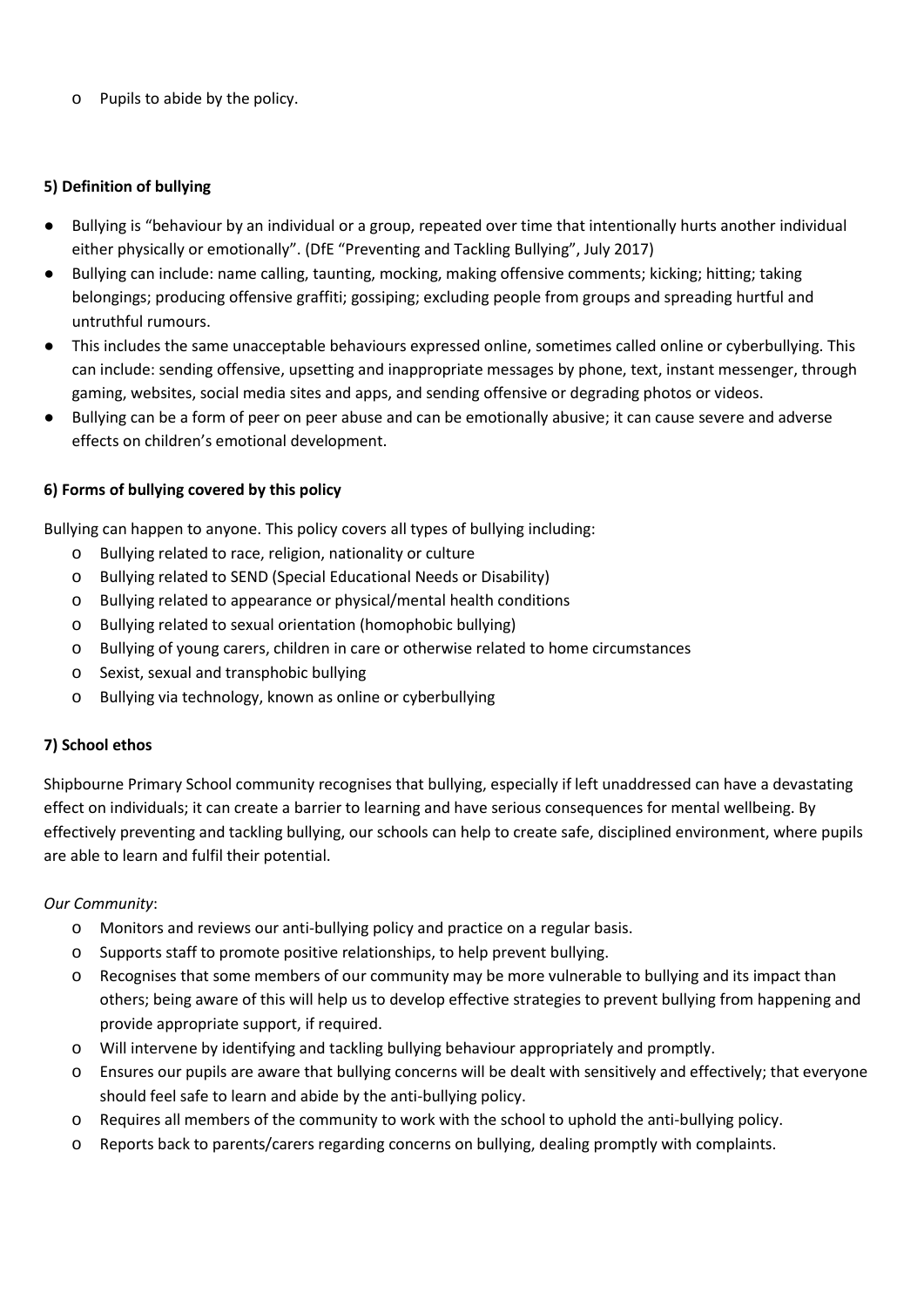o Pupils to abide by the policy.

## **5) Definition of bullying**

- Bullying is "behaviour by an individual or a group, repeated over time that intentionally hurts another individual either physically or emotionally". (DfE "Preventing and Tackling Bullying", July 2017)
- Bullying can include: name calling, taunting, mocking, making offensive comments; kicking; hitting; taking belongings; producing offensive graffiti; gossiping; excluding people from groups and spreading hurtful and untruthful rumours.
- This includes the same unacceptable behaviours expressed online, sometimes called online or cyberbullying. This can include: sending offensive, upsetting and inappropriate messages by phone, text, instant messenger, through gaming, websites, social media sites and apps, and sending offensive or degrading photos or videos.
- Bullying can be a form of peer on peer abuse and can be emotionally abusive; it can cause severe and adverse effects on children's emotional development.

# **6) Forms of bullying covered by this policy**

Bullying can happen to anyone. This policy covers all types of bullying including:

- o Bullying related to race, religion, nationality or culture
- o Bullying related to SEND (Special Educational Needs or Disability)
- o Bullying related to appearance or physical/mental health conditions
- o Bullying related to sexual orientation (homophobic bullying)
- o Bullying of young carers, children in care or otherwise related to home circumstances
- o Sexist, sexual and transphobic bullying
- o Bullying via technology, known as online or cyberbullying

### **7) School ethos**

Shipbourne Primary School community recognises that bullying, especially if left unaddressed can have a devastating effect on individuals; it can create a barrier to learning and have serious consequences for mental wellbeing. By effectively preventing and tackling bullying, our schools can help to create safe, disciplined environment, where pupils are able to learn and fulfil their potential.

### *Our Community*:

- o Monitors and reviews our anti-bullying policy and practice on a regular basis.
- o Supports staff to promote positive relationships, to help prevent bullying.
- o Recognises that some members of our community may be more vulnerable to bullying and its impact than others; being aware of this will help us to develop effective strategies to prevent bullying from happening and provide appropriate support, if required.
- o Will intervene by identifying and tackling bullying behaviour appropriately and promptly.
- o Ensures our pupils are aware that bullying concerns will be dealt with sensitively and effectively; that everyone should feel safe to learn and abide by the anti-bullying policy.
- o Requires all members of the community to work with the school to uphold the anti-bullying policy.
- o Reports back to parents/carers regarding concerns on bullying, dealing promptly with complaints.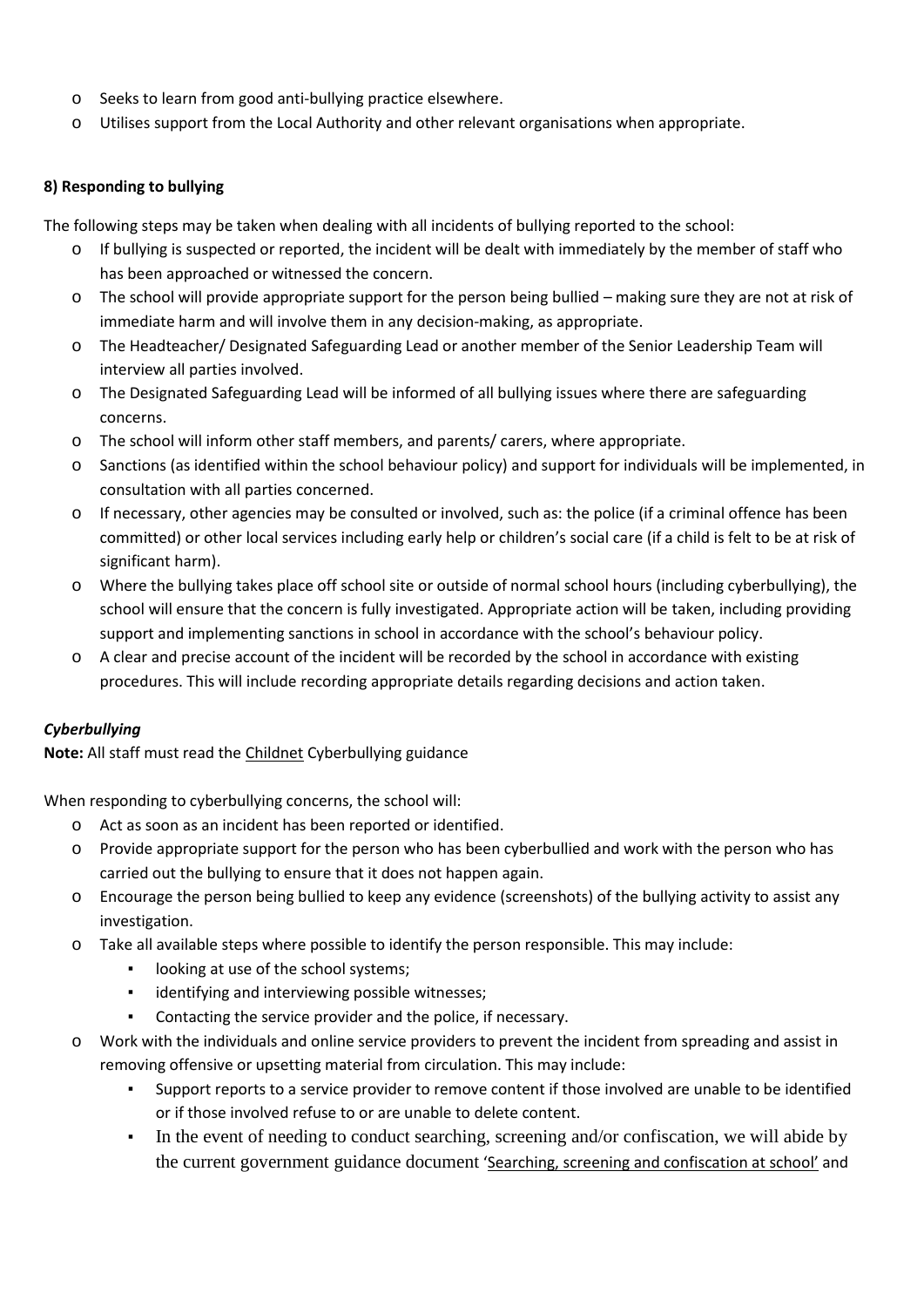- o Seeks to learn from good anti-bullying practice elsewhere.
- o Utilises support from the Local Authority and other relevant organisations when appropriate.

### **8) Responding to bullying**

The following steps may be taken when dealing with all incidents of bullying reported to the school:

- o If bullying is suspected or reported, the incident will be dealt with immediately by the member of staff who has been approached or witnessed the concern.
- o The school will provide appropriate support for the person being bullied making sure they are not at risk of immediate harm and will involve them in any decision-making, as appropriate.
- o The Headteacher/ Designated Safeguarding Lead or another member of the Senior Leadership Team will interview all parties involved.
- o The Designated Safeguarding Lead will be informed of all bullying issues where there are safeguarding concerns.
- o The school will inform other staff members, and parents/ carers, where appropriate.
- o Sanctions (as identified within the school behaviour policy) and support for individuals will be implemented, in consultation with all parties concerned.
- o If necessary, other agencies may be consulted or involved, such as: the police (if a criminal offence has been committed) or other local services including early help or children's social care (if a child is felt to be at risk of significant harm).
- o Where the bullying takes place off school site or outside of normal school hours (including cyberbullying), the school will ensure that the concern is fully investigated. Appropriate action will be taken, including providing support and implementing sanctions in school in accordance with the school's behaviour policy.
- o A clear and precise account of the incident will be recorded by the school in accordance with existing procedures. This will include recording appropriate details regarding decisions and action taken.

# *Cyberbullying*

**Note:** All staff must read the [Childnet](http://www.childnet.com/resources/cyberbullying-guidance-for-schools) Cyberbullying guidance

When responding to cyberbullying concerns, the school will:

- o Act as soon as an incident has been reported or identified.
- o Provide appropriate support for the person who has been cyberbullied and work with the person who has carried out the bullying to ensure that it does not happen again.
- o Encourage the person being bullied to keep any evidence (screenshots) of the bullying activity to assist any investigation.
- o Take all available steps where possible to identify the person responsible. This may include:
	- looking at use of the school systems;
	- identifying and interviewing possible witnesses;
	- Contacting the service provider and the police, if necessary.
- o Work with the individuals and online service providers to prevent the incident from spreading and assist in removing offensive or upsetting material from circulation. This may include:
	- Support reports to a service provider to remove content if those involved are unable to be identified or if those involved refuse to or are unable to delete content.
	- In the event of needing to conduct searching, screening and/or confiscation, we will abide by the current government guidance document '[Searching, screening and confiscat](https://www.gov.uk/government/publications/searching-screening-and-confiscation)ion at school' and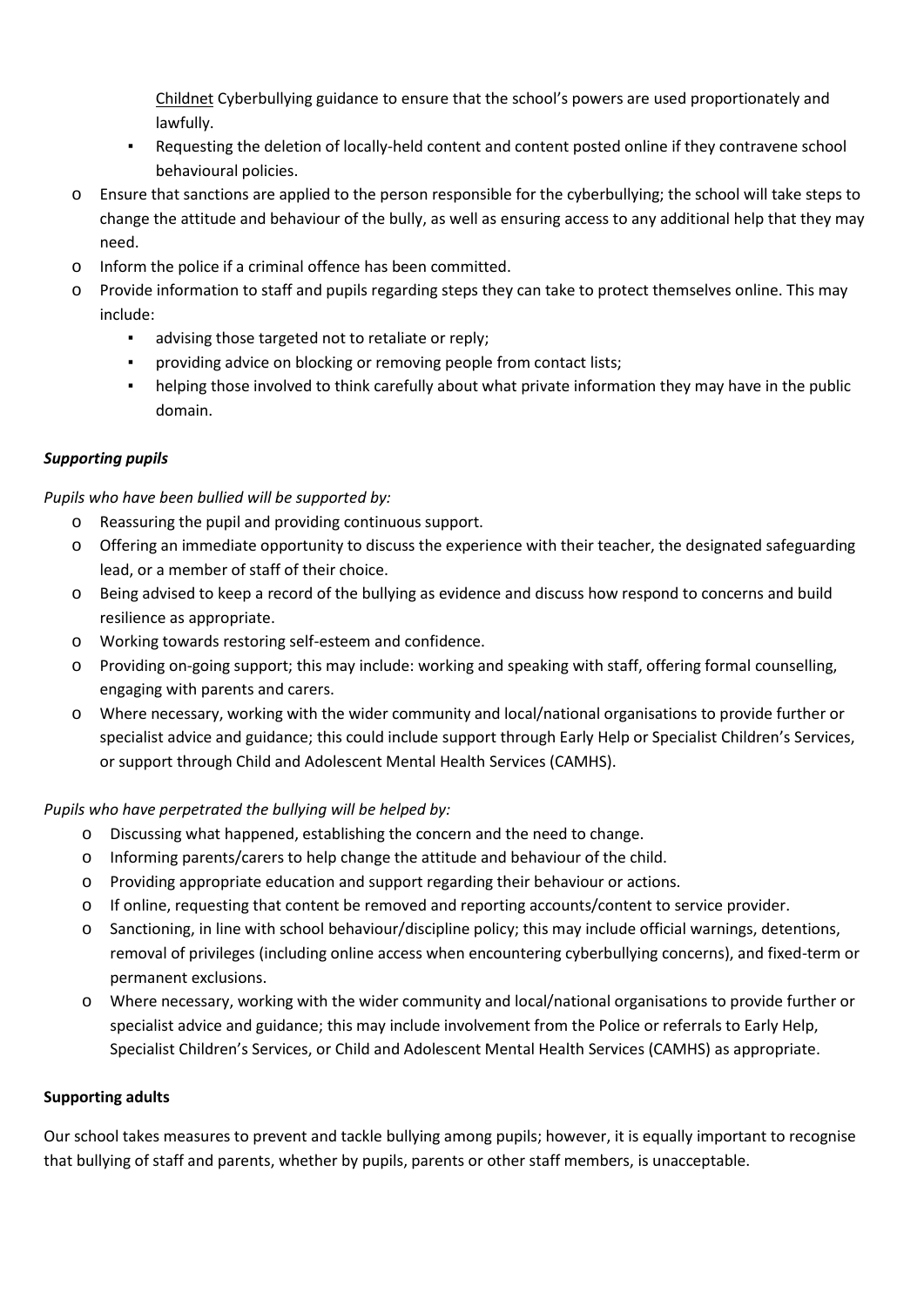[Childnet](http://www.childnet.com/resources/cyberbullying-guidance-for-schools) Cyberbullying guidance to ensure that the school's powers are used proportionately and lawfully.

- Requesting the deletion of locally-held content and content posted online if they contravene school behavioural policies.
- o Ensure that sanctions are applied to the person responsible for the cyberbullying; the school will take steps to change the attitude and behaviour of the bully, as well as ensuring access to any additional help that they may need.
- o Inform the police if a criminal offence has been committed.
- o Provide information to staff and pupils regarding steps they can take to protect themselves online. This may include:
	- advising those targeted not to retaliate or reply;
	- providing advice on blocking or removing people from contact lists;
	- helping those involved to think carefully about what private information they may have in the public domain.

# *Supporting pupils*

# *Pupils who have been bullied will be supported by:*

- o Reassuring the pupil and providing continuous support.
- o Offering an immediate opportunity to discuss the experience with their teacher, the designated safeguarding lead, or a member of staff of their choice.
- o Being advised to keep a record of the bullying as evidence and discuss how respond to concerns and build resilience as appropriate.
- o Working towards restoring self-esteem and confidence.
- o Providing on-going support; this may include: working and speaking with staff, offering formal counselling, engaging with parents and carers.
- o Where necessary, working with the wider community and local/national organisations to provide further or specialist advice and guidance; this could include support through Early Help or Specialist Children's Services, or support through Child and Adolescent Mental Health Services (CAMHS).

# *Pupils who have perpetrated the bullying will be helped by:*

- o Discussing what happened, establishing the concern and the need to change.
- o Informing parents/carers to help change the attitude and behaviour of the child.
- o Providing appropriate education and support regarding their behaviour or actions.
- o If online, requesting that content be removed and reporting accounts/content to service provider.
- o Sanctioning, in line with school behaviour/discipline policy; this may include official warnings, detentions, removal of privileges (including online access when encountering cyberbullying concerns), and fixed-term or permanent exclusions.
- o Where necessary, working with the wider community and local/national organisations to provide further or specialist advice and guidance; this may include involvement from the Police or referrals to Early Help, Specialist Children's Services, or Child and Adolescent Mental Health Services (CAMHS) as appropriate.

# **Supporting adults**

Our school takes measures to prevent and tackle bullying among pupils; however, it is equally important to recognise that bullying of staff and parents, whether by pupils, parents or other staff members, is unacceptable.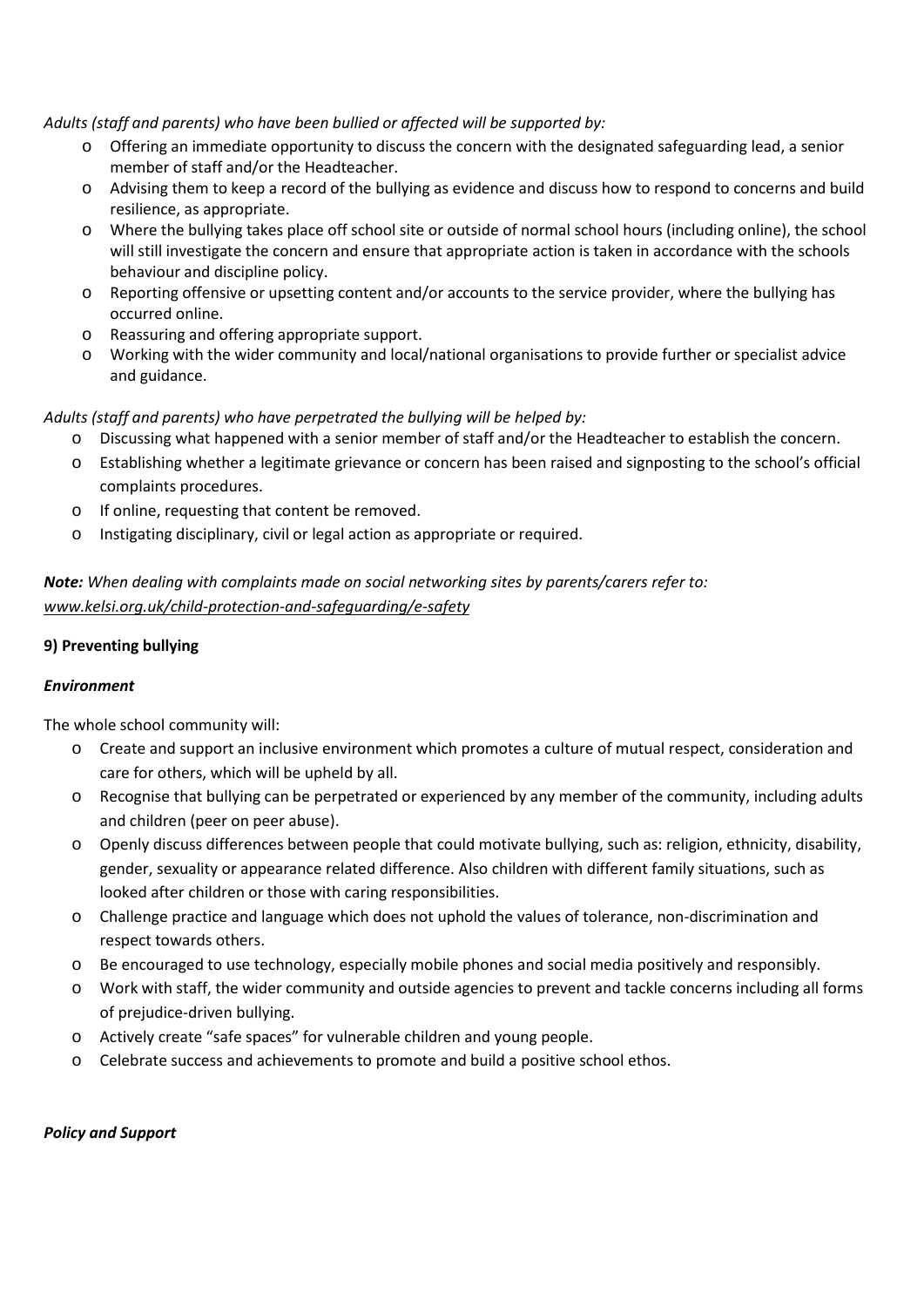*Adults (staff and parents) who have been bullied or affected will be supported by:*

- o Offering an immediate opportunity to discuss the concern with the designated safeguarding lead, a senior member of staff and/or the Headteacher.
- o Advising them to keep a record of the bullying as evidence and discuss how to respond to concerns and build resilience, as appropriate.
- o Where the bullying takes place off school site or outside of normal school hours (including online), the school will still investigate the concern and ensure that appropriate action is taken in accordance with the schools behaviour and discipline policy.
- o Reporting offensive or upsetting content and/or accounts to the service provider, where the bullying has occurred online.
- o Reassuring and offering appropriate support.
- o Working with the wider community and local/national organisations to provide further or specialist advice and guidance.

# *Adults (staff and parents) who have perpetrated the bullying will be helped by:*

- o Discussing what happened with a senior member of staff and/or the Headteacher to establish the concern.
- o Establishing whether a legitimate grievance or concern has been raised and signposting to the school's official complaints procedures.
- o If online, requesting that content be removed.
- o Instigating disciplinary, civil or legal action as appropriate or required.

*Note: When dealing with complaints made on social networking sites by parents/carers refer to: [www.kelsi.org.uk/child-protection-and-safeguarding/e-safety](http://www.kelsi.org.uk/child-protection-and-safeguarding/e-safety)*

### **9) Preventing bullying**

### *Environment*

The whole school community will:

- o Create and support an inclusive environment which promotes a culture of mutual respect, consideration and care for others, which will be upheld by all.
- o Recognise that bullying can be perpetrated or experienced by any member of the community, including adults and children (peer on peer abuse).
- o Openly discuss differences between people that could motivate bullying, such as: religion, ethnicity, disability, gender, sexuality or appearance related difference. Also children with different family situations, such as looked after children or those with caring responsibilities.
- o Challenge practice and language which does not uphold the values of tolerance, non-discrimination and respect towards others.
- o Be encouraged to use technology, especially mobile phones and social media positively and responsibly.
- o Work with staff, the wider community and outside agencies to prevent and tackle concerns including all forms of prejudice-driven bullying.
- o Actively create "safe spaces" for vulnerable children and young people.
- o Celebrate success and achievements to promote and build a positive school ethos.

### *Policy and Support*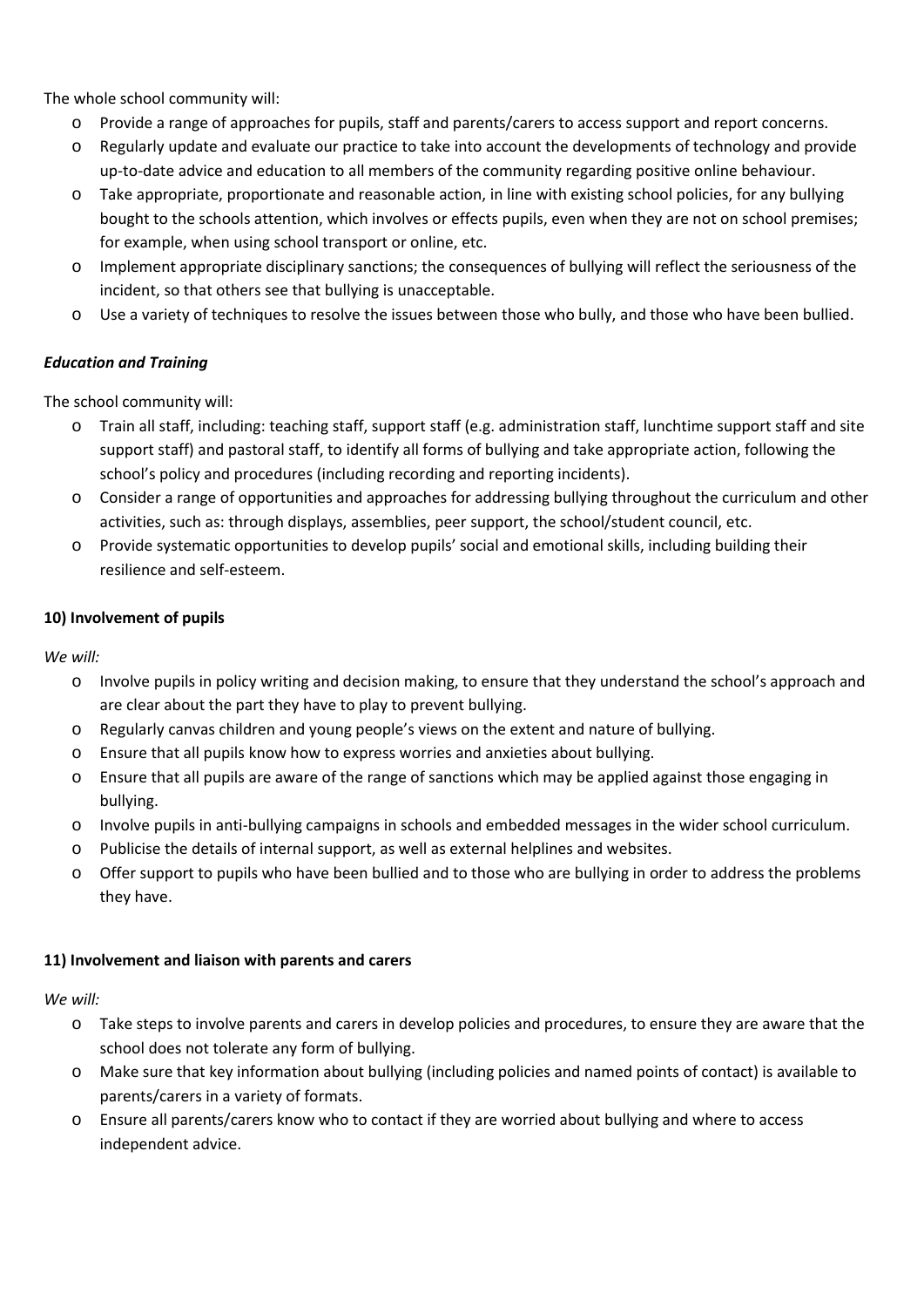The whole school community will:

- o Provide a range of approaches for pupils, staff and parents/carers to access support and report concerns.
- o Regularly update and evaluate our practice to take into account the developments of technology and provide up-to-date advice and education to all members of the community regarding positive online behaviour.
- o Take appropriate, proportionate and reasonable action, in line with existing school policies, for any bullying bought to the schools attention, which involves or effects pupils, even when they are not on school premises; for example, when using school transport or online, etc.
- o Implement appropriate disciplinary sanctions; the consequences of bullying will reflect the seriousness of the incident, so that others see that bullying is unacceptable.
- o Use a variety of techniques to resolve the issues between those who bully, and those who have been bullied.

# *Education and Training*

The school community will:

- o Train all staff, including: teaching staff, support staff (e.g. administration staff, lunchtime support staff and site support staff) and pastoral staff, to identify all forms of bullying and take appropriate action, following the school's policy and procedures (including recording and reporting incidents).
- o Consider a range of opportunities and approaches for addressing bullying throughout the curriculum and other activities, such as: through displays, assemblies, peer support, the school/student council, etc.
- o Provide systematic opportunities to develop pupils' social and emotional skills, including building their resilience and self-esteem.

### **10) Involvement of pupils**

*We will:* 

- o Involve pupils in policy writing and decision making, to ensure that they understand the school's approach and are clear about the part they have to play to prevent bullying.
- o Regularly canvas children and young people's views on the extent and nature of bullying.
- o Ensure that all pupils know how to express worries and anxieties about bullying.
- o Ensure that all pupils are aware of the range of sanctions which may be applied against those engaging in bullying.
- o Involve pupils in anti-bullying campaigns in schools and embedded messages in the wider school curriculum.
- o Publicise the details of internal support, as well as external helplines and websites.
- o Offer support to pupils who have been bullied and to those who are bullying in order to address the problems they have.

### **11) Involvement and liaison with parents and carers**

*We will:* 

- o Take steps to involve parents and carers in develop policies and procedures, to ensure they are aware that the school does not tolerate any form of bullying.
- o Make sure that key information about bullying (including policies and named points of contact) is available to parents/carers in a variety of formats.
- o Ensure all parents/carers know who to contact if they are worried about bullying and where to access independent advice.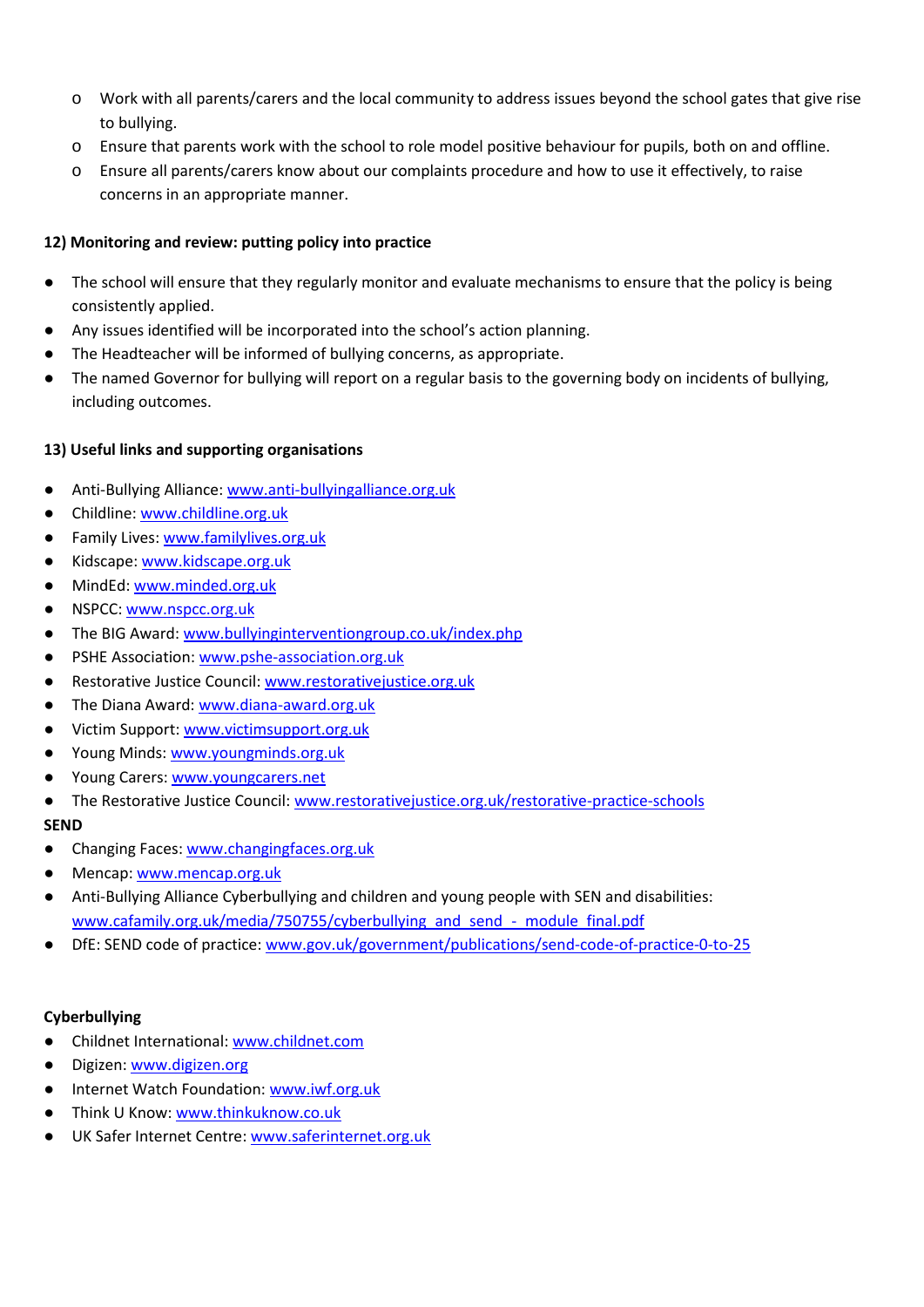- o Work with all parents/carers and the local community to address issues beyond the school gates that give rise to bullying.
- o Ensure that parents work with the school to role model positive behaviour for pupils, both on and offline.
- o Ensure all parents/carers know about our complaints procedure and how to use it effectively, to raise concerns in an appropriate manner.

## **12) Monitoring and review: putting policy into practice**

- The school will ensure that they regularly monitor and evaluate mechanisms to ensure that the policy is being consistently applied.
- Any issues identified will be incorporated into the school's action planning.
- The Headteacher will be informed of bullying concerns, as appropriate.
- The named Governor for bullying will report on a regular basis to the governing body on incidents of bullying, including outcomes.

# **13) Useful links and supporting organisations**

- Anti-Bullying Alliance: [www.anti-bullyingalliance.org.uk](http://www.anti-bullyingalliance.org.uk/)
- Childline[: www.childline.org.uk](http://www.childline.org.uk/)
- Family Lives: [www.familylives.org.uk](http://www.familylives.org.uk/)
- Kidscape: [www.kidscape.org.uk](http://www.kidscape.org.uk/)
- MindEd: [www.minded.org.uk](http://www.minded.org.uk/)
- NSPCC: [www.nspcc.org.uk](http://www.nspcc.org.uk/)
- The BIG Award: [www.bullyinginterventiongroup.co.uk/index.php](https://www.bullyinginterventiongroup.co.uk/index.php)
- PSHE Association: [www.pshe-association.org.uk](http://www.pshe-association.org.uk/)
- Restorative Justice Council[: www.restorativejustice.org.uk](http://www.restorativejustice.org.uk/)
- The Diana Award: [www.diana-award.org.uk](http://www.diana-award.org.uk/)
- Victim Support: [www.victimsupport.org.uk](http://www.victimsupport.org.uk/)
- Young Minds: [www.youngminds.org.uk](http://www.youngminds.org.uk/)
- Young Carers[: www.youngcarers.net](http://www.youngcarers.net/)
- The Restorative Justice Council[: www.restorativejustice.org.uk/restorative-practice-schools](http://www.restorativejustice.org.uk/restorative-practice-schools)

### **SEND**

- Changing Faces: [www.changingfaces.org.uk](http://www.changingfaces.org.uk/)
- Mencap: [www.mencap.org.uk](http://www.mencap.org.uk/)
- Anti-Bullying Alliance Cyberbullying and children and young people with SEN and disabilities: [www.cafamily.org.uk/media/750755/cyberbullying\\_and\\_send\\_-\\_module\\_final.pdf](http://www.cafamily.org.uk/media/750755/cyberbullying_and_send_-_module_final.pdf)
- DfE: SEND code of practice: [www.gov.uk/government/publications/send-code-of-practice-0-to-25](https://www.gov.uk/government/publications/send-code-of-practice-0-to-25)

### **Cyberbullying**

- Childnet International: [www.childnet.com](http://www.childnet.com/)
- Digizen: [www.digizen.org](http://www.digizen.org/)
- Internet Watch Foundation[: www.iwf.org.uk](http://www.iwf.org.uk/)
- Think U Know: [www.thinkuknow.co.uk](http://www.thinkuknow.co.uk/)
- UK Safer Internet Centre[: www.saferinternet.org.uk](http://www.saferinternet.org.uk/)